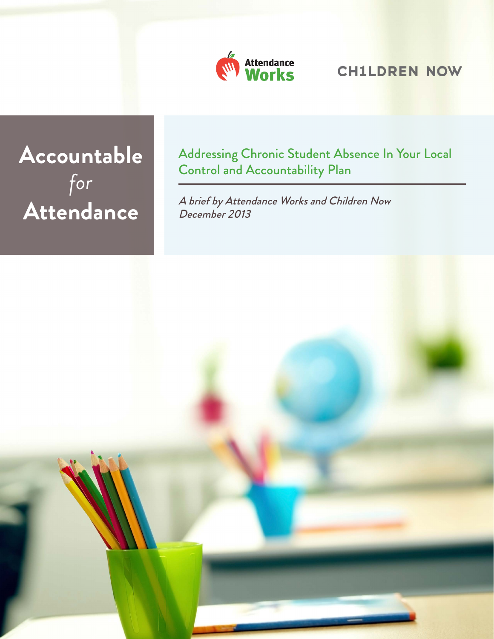

# **CH1LDREN NOW**

# **Accountable**  *for*  **Attendance**

Addressing Chronic Student Absence In Your Local Control and Accountability Plan

A brief by Attendance Works and Children Now December 2013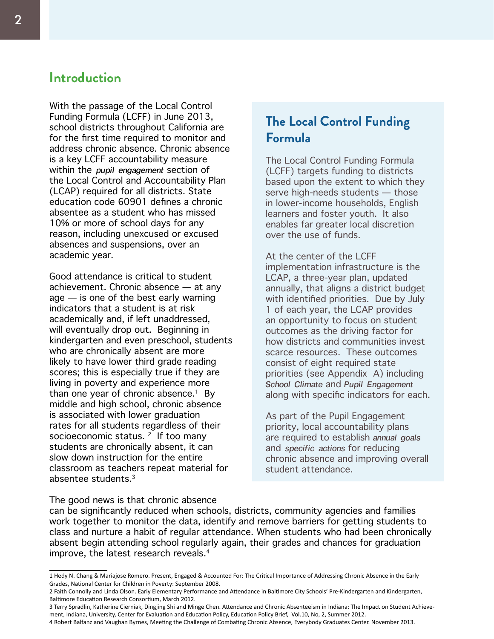## **Introduction**

With the passage of the Local Control Funding Formula (LCFF) in June 2013, school districts throughout California are for the first time required to monitor and address chronic absence. Chronic absence is a key LCFF accountability measure within the *pupil engagement* section of the Local Control and Accountability Plan (LCAP) required for all districts. State education code 60901 defines a chronic absentee as a student who has missed 10% or more of school days for any reason, including unexcused or excused absences and suspensions, over an academic year.

Good attendance is critical to student achievement. Chronic absence — at any age — is one of the best early warning indicators that a student is at risk academically and, if left unaddressed, will eventually drop out. Beginning in kindergarten and even preschool, students who are chronically absent are more likely to have lower third grade reading scores; this is especially true if they are living in poverty and experience more than one year of chronic absence.<sup>1</sup> By middle and high school, chronic absence is associated with lower graduation rates for all students regardless of their socioeconomic status.  $2 \cdot$  If too many students are chronically absent, it can slow down instruction for the entire classroom as teachers repeat material for absentee students.3

# **The Local Control Funding Formula**

The Local Control Funding Formula (LCFF) targets funding to districts based upon the extent to which they serve high-needs students — those in lower-income households, English learners and foster youth. It also enables far greater local discretion over the use of funds.

At the center of the LCFF implementation infrastructure is the LCAP, a three-year plan, updated annually, that aligns a district budget with identified priorities. Due by July 1 of each year, the LCAP provides an opportunity to focus on student outcomes as the driving factor for how districts and communities invest scarce resources. These outcomes consist of eight required state priorities (see Appendix A) including *School Climate* and *Pupil Engagement*  along with specific indicators for each.

As part of the Pupil Engagement priority, local accountability plans are required to establish *annual goals*  and *specific actions* for reducing chronic absence and improving overall student attendance.

#### The good news is that chronic absence

can be significantly reduced when schools, districts, community agencies and families work together to monitor the data, identify and remove barriers for getting students to class and nurture a habit of regular attendance. When students who had been chronically absent begin attending school regularly again, their grades and chances for graduation improve, the latest research reveals.4

3 Terry Spradlin, Katherine Cierniak, Dingjing Shi and Minge Chen. Attendance and Chronic Absenteeism in Indiana: The Impact on Student Achievement, Indiana, University, Center for Evaluation and Education Policy, Education Policy Brief, Vol.10, No, 2, Summer 2012.

<sup>1</sup> Hedy N. Chang & Mariajose Romero. Present, Engaged & Accounted For: The Critical Importance of Addressing Chronic Absence in the Early Grades, National Center for Children in Poverty: September 2008.

<sup>2</sup> Faith Connolly and Linda Olson. Early Elementary Performance and Attendance in Baltimore City Schools' Pre-Kindergarten and Kindergarten, Baltimore Education Research Consortium, March 2012.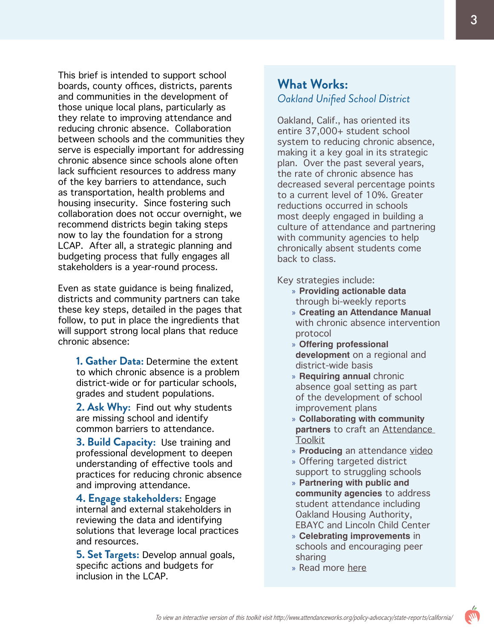This brief is intended to support school boards, county offices, districts, parents and communities in the development of those unique local plans, particularly as they relate to improving attendance and reducing chronic absence. Collaboration between schools and the communities they serve is especially important for addressing chronic absence since schools alone often lack sufficient resources to address many of the key barriers to attendance, such as transportation, health problems and housing insecurity. Since fostering such collaboration does not occur overnight, we recommend districts begin taking steps now to lay the foundation for a strong LCAP. After all, a strategic planning and budgeting process that fully engages all stakeholders is a year-round process.

Even as state guidance is being finalized, districts and community partners can take these key steps, detailed in the pages that follow, to put in place the ingredients that will support strong local plans that reduce chronic absence:

**1. Gather Data:** Determine the extent to which chronic absence is a problem district-wide or for particular schools, grades and student populations.

**2. Ask Why:** Find out why students are missing school and identify common barriers to attendance.

**3. Build Capacity:** Use training and professional development to deepen understanding of effective tools and practices for reducing chronic absence and improving attendance.

**4. Engage stakeholders:** Engage internal and external stakeholders in reviewing the data and identifying solutions that leverage local practices and resources.

**5. Set Targets:** Develop annual goals, specific actions and budgets for inclusion in the LCAP.

### **What Works:** *Oakland Unified School District*

Oakland, Calif., has oriented its entire 37,000+ student school system to reducing chronic absence, making it a key goal in its strategic plan. Over the past several years, the rate of chronic absence has decreased several percentage points to a current level of 10%. Greater reductions occurred in schools most deeply engaged in building a culture of attendance and partnering with community agencies to help chronically absent students come back to class.

Key strategies include:

- » **Providing actionable data** through bi-weekly reports
- » **Creating an Attendance Manual**  with chronic absence intervention protocol
- » **Offering professional development** on a regional and district-wide basis
- » **Requiring annual** chronic absence goal setting as part of the development of school improvement plans
- » **Collaborating with community partners** to craft an [Attendance](http://atschool.alcoda.org/attendance_initiatives)  **[Toolkit](http://atschool.alcoda.org/attendance_initiatives)**
- » **Producing** an attendance [video](http://www.youtube.com/watch?v=gcH6kBNH2FQ)
- » Offering targeted district support to struggling schools
- » **Partnering with public and community agencies** to address student attendance including Oakland Housing Authority, EBAYC and Lincoln Child Center
- » **Celebrating improvements** in schools and encouraging peer sharing
- » Read more [here](http://www.attendanceworks.org/what-works/oakland/)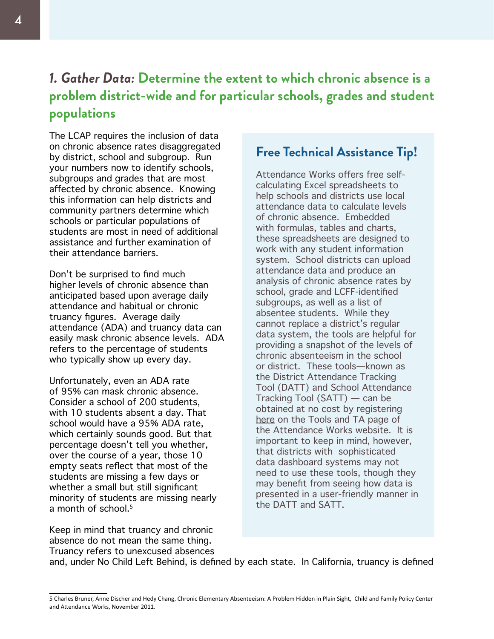# *1. Gather Data:* **Determine the extent to which chronic absence is a problem district-wide and for particular schools, grades and student populations**

The LCAP requires the inclusion of data on chronic absence rates disaggregated by district, school and subgroup. Run your numbers now to identify schools, subgroups and grades that are most affected by chronic absence. Knowing this information can help districts and community partners determine which schools or particular populations of students are most in need of additional assistance and further examination of their attendance barriers.

Don't be surprised to find much higher levels of chronic absence than anticipated based upon average daily attendance and habitual or chronic truancy figures. Average daily attendance (ADA) and truancy data can easily mask chronic absence levels. ADA refers to the percentage of students who typically show up every day.

Unfortunately, even an ADA rate of 95% can mask chronic absence. Consider a school of 200 students, with 10 students absent a day. That school would have a 95% ADA rate, which certainly sounds good. But that percentage doesn't tell you whether, over the course of a year, those 10 empty seats reflect that most of the students are missing a few days or whether a small but still significant minority of students are missing nearly a month of school.<sup>5</sup>

### **Free Technical Assistance Tip!**

Attendance Works offers free selfcalculating Excel spreadsheets to help schools and districts use local attendance data to calculate levels of chronic absence. Embedded with formulas, tables and charts, these spreadsheets are designed to work with any student information system. School districts can upload attendance data and produce an analysis of chronic absence rates by school, grade and LCFF-identified subgroups, as well as a list of absentee students. While they cannot replace a district's regular data system, the tools are helpful for providing a snapshot of the levels of chronic absenteeism in the school or district. These tools—known as the District Attendance Tracking Tool (DATT) and School Attendance Tracking Tool (SATT) — can be obtained at no cost by registering [here](http://www.attendanceworks.org/tools/tools-for-calculating-chronic-absence/) on the Tools and TA page of the Attendance Works website. It is important to keep in mind, however, that districts with sophisticated data dashboard systems may not need to use these tools, though they may benefit from seeing how data is presented in a user-friendly manner in the DATT and SATT.

Keep in mind that truancy and chronic absence do not mean the same thing. Truancy refers to unexcused absences

and, under No Child Left Behind, is defined by each state. In California, truancy is defined

<sup>5</sup> Charles Bruner, Anne Discher and Hedy Chang, Chronic Elementary Absenteeism: A Problem Hidden in Plain Sight, Child and Family Policy Center and Attendance Works, November 2011.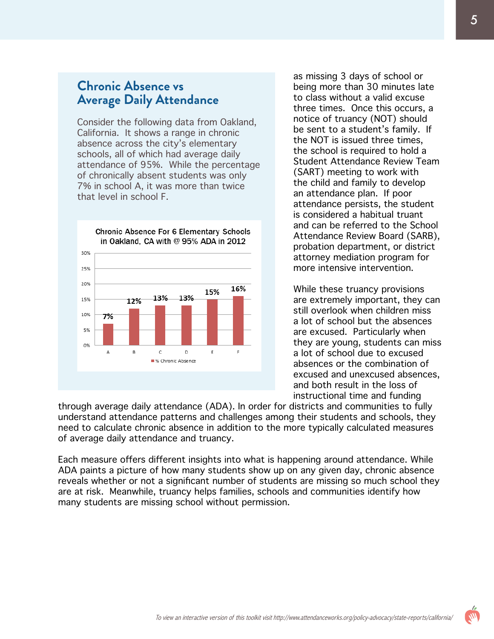### **Chronic Absence vs Average Daily Attendance**

Consider the following data from Oakland, California. It shows a range in chronic absence across the city's elementary schools, all of which had average daily attendance of 95%. While the percentage of chronically absent students was only 7% in school A, it was more than twice that level in school F.



as missing 3 days of school or being more than 30 minutes late to class without a valid excuse three times. Once this occurs, a notice of truancy (NOT) should be sent to a student's family. If the NOT is issued three times, the school is required to hold a Student Attendance Review Team (SART) meeting to work with the child and family to develop an attendance plan. If poor attendance persists, the student is considered a habitual truant and can be referred to the School Attendance Review Board (SARB), probation department, or district attorney mediation program for more intensive intervention.

While these truancy provisions are extremely important, they can still overlook when children miss a lot of school but the absences are excused. Particularly when they are young, students can miss a lot of school due to excused absences or the combination of excused and unexcused absences, and both result in the loss of instructional time and funding

through average daily attendance (ADA). In order for districts and communities to fully understand attendance patterns and challenges among their students and schools, they need to calculate chronic absence in addition to the more typically calculated measures of average daily attendance and truancy.

Each measure offers different insights into what is happening around attendance. While ADA paints a picture of how many students show up on any given day, chronic absence reveals whether or not a significant number of students are missing so much school they are at risk. Meanwhile, truancy helps families, schools and communities identify how many students are missing school without permission.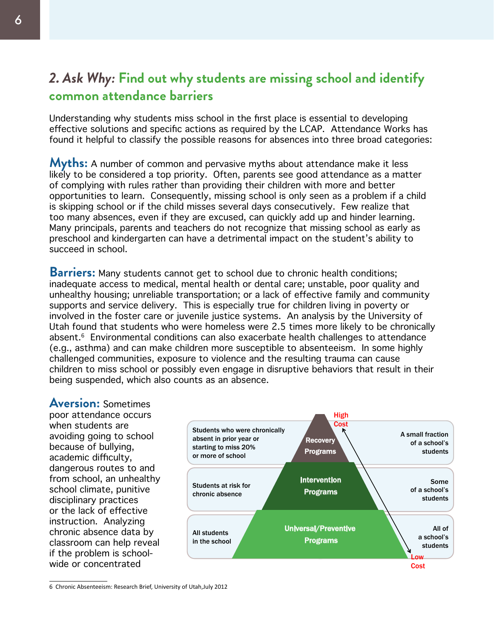# *2. Ask Why:* **Find out why students are missing school and identify common attendance barriers**

Understanding why students miss school in the first place is essential to developing effective solutions and specific actions as required by the LCAP. Attendance Works has found it helpful to classify the possible reasons for absences into three broad categories:

**Myths:** A number of common and pervasive myths about attendance make it less likely to be considered a top priority. Often, parents see good attendance as a matter of complying with rules rather than providing their children with more and better opportunities to learn. Consequently, missing school is only seen as a problem if a child is skipping school or if the child misses several days consecutively. Few realize that too many absences, even if they are excused, can quickly add up and hinder learning. Many principals, parents and teachers do not recognize that missing school as early as preschool and kindergarten can have a detrimental impact on the student's ability to succeed in school.

**Barriers:** Many students cannot get to school due to chronic health conditions; inadequate access to medical, mental health or dental care; unstable, poor quality and unhealthy housing; unreliable transportation; or a lack of effective family and community supports and service delivery. This is especially true for children living in poverty or involved in the foster care or juvenile justice systems. An analysis by the University of Utah found that students who were homeless were 2.5 times more likely to be chronically absent.<sup>6</sup> Environmental conditions can also exacerbate health challenges to attendance (e.g., asthma) and can make children more susceptible to absenteeism. In some highly challenged communities, exposure to violence and the resulting trauma can cause children to miss school or possibly even engage in disruptive behaviors that result in their being suspended, which also counts as an absence.

**Aversion:** Sometimes poor attendance occurs when students are avoiding going to school because of bullying, academic difficulty, dangerous routes to and from school, an unhealthy school climate, punitive disciplinary practices or the lack of effective instruction. Analyzing chronic absence data by classroom can help reveal if the problem is schoolwide or concentrated



<sup>6</sup> Chronic Absenteeism: Research Brief, University of Utah,July 2012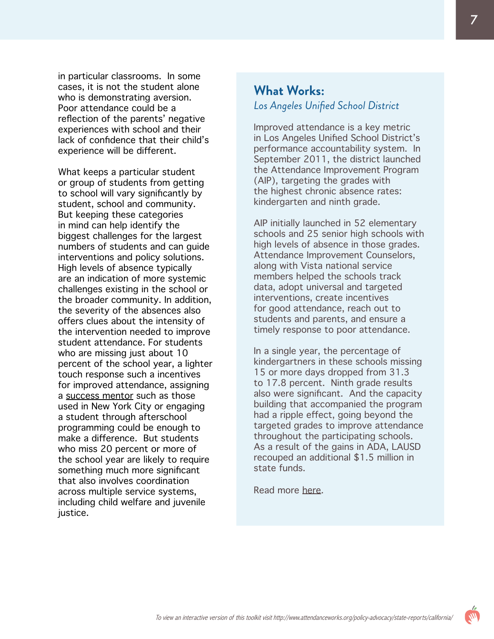in particular classrooms. In some cases, it is not the student alone who is demonstrating aversion. Poor attendance could be a reflection of the parents' negative experiences with school and their lack of confidence that their child's experience will be different.

What keeps a particular student or group of students from getting to school will vary significantly by student, school and community. But keeping these categories in mind can help identify the biggest challenges for the largest numbers of students and can guide interventions and policy solutions. High levels of absence typically are an indication of more systemic challenges existing in the school or the broader community. In addition, the severity of the absences also offers clues about the intensity of the intervention needed to improve student attendance. For students who are missing just about 10 percent of the school year, a lighter touch response such a incentives for improved attendance, assigning a [success mentor](http://www.attendanceworks.org/what-works/new-york-city/success-mentors/) such as those used in New York City or engaging a student through afterschool programming could be enough to make a difference. But students who miss 20 percent or more of the school year are likely to require something much more significant that also involves coordination across multiple service systems, including child welfare and juvenile justice.

### **What Works:** *Los Angeles Unified School District*

Improved attendance is a key metric in Los Angeles Unified School District's performance accountability system. In September 2011, the district launched the Attendance Improvement Program (AIP), targeting the grades with the highest chronic absence rates: kindergarten and ninth grade.

AIP initially launched in 52 elementary schools and 25 senior high schools with high levels of absence in those grades. Attendance Improvement Counselors, along with Vista national service members helped the schools track data, adopt universal and targeted interventions, create incentives for good attendance, reach out to students and parents, and ensure a timely response to poor attendance.

In a single year, the percentage of kindergartners in these schools missing 15 or more days dropped from 31.3 to 17.8 percent. Ninth grade results also were significant. And the capacity building that accompanied the program had a ripple effect, going beyond the targeted grades to improve attendance throughout the participating schools. As a result of the gains in ADA, LAUSD recouped an additional \$1.5 million in state funds.

Read more <u>[here](http://www.attendanceworks.org/what-works/los-angeles-systemic-approach/)</u>.

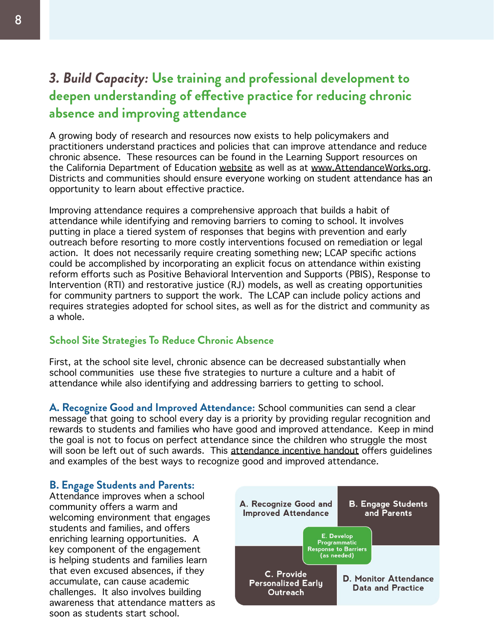# *3. Build Capacity:* **Use training and professional development to deepen understanding of effective practice for reducing chronic absence and improving attendance**

A growing body of research and resources now exists to help policymakers and practitioners understand practices and policies that can improve attendance and reduce chronic absence. These resources can be found in the Learning Support resources on the California Department of Education [website](http://www.cde.ca.gov/ls/ai/) as well as at [www.AttendanceWorks.org.](www.AttendanceWorks.org) Districts and communities should ensure everyone working on student attendance has an opportunity to learn about effective practice.

Improving attendance requires a comprehensive approach that builds a habit of attendance while identifying and removing barriers to coming to school. It involves putting in place a tiered system of responses that begins with prevention and early outreach before resorting to more costly interventions focused on remediation or legal action. It does not necessarily require creating something new; LCAP specific actions could be accomplished by incorporating an explicit focus on attendance within existing reform efforts such as Positive Behavioral Intervention and Supports (PBIS), Response to Intervention (RTI) and restorative justice (RJ) models, as well as creating opportunities for community partners to support the work. The LCAP can include policy actions and requires strategies adopted for school sites, as well as for the district and community as a whole.

### **School Site Strategies To Reduce Chronic Absence**

First, at the school site level, chronic absence can be decreased substantially when school communities use these five strategies to nurture a culture and a habit of attendance while also identifying and addressing barriers to getting to school.

**A. Recognize Good and Improved Attendance:** School communities can send a clear message that going to school every day is a priority by providing regular recognition and rewards to students and families who have good and improved attendance. Keep in mind the goal is not to focus on perfect attendance since the children who struggle the most will soon be left out of such awards. This [attendance incentive handout](http://www.attendanceworks.org/wordpress/wp-content/uploads/2010/05/incentives.pdf) offers quidelines and examples of the best ways to recognize good and improved attendance.

### **B. Engage Students and Parents:**

Attendance improves when a school community offers a warm and welcoming environment that engages students and families, and offers enriching learning opportunities. A key component of the engagement is helping students and families learn that even excused absences, if they accumulate, can cause academic challenges. It also involves building awareness that attendance matters as soon as students start school.

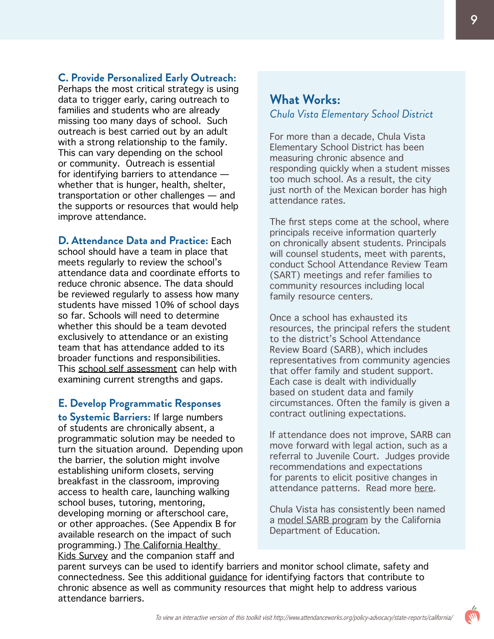### **C. Provide Personalized Early Outreach:**

Perhaps the most critical strategy is using data to trigger early, caring outreach to families and students who are already missing too many days of school. Such outreach is best carried out by an adult with a strong relationship to the family. This can vary depending on the school or community. Outreach is essential for identifying barriers to attendance whether that is hunger, health, shelter, transportation or other challenges — and the supports or resources that would help improve attendance.

**D. Attendance Data and Practice:** Each school should have a team in place that meets regularly to review the school's attendance data and coordinate efforts to reduce chronic absence. The data should be reviewed regularly to assess how many students have missed 10% of school days so far. Schools will need to determine whether this should be a team devoted exclusively to attendance or an existing team that has attendance added to its broader functions and responsibilities. This [school self assessment](http://www.attendanceworks.org/wordpress/wp-content/uploads/2012/06/School-Self-Assessment-Team-Rev-June-2012.pdf) can help with examining current strengths and gaps.

#### **E. Develop Programmatic Responses**

**to Systemic Barriers:** If large numbers of students are chronically absent, a programmatic solution may be needed to turn the situation around. Depending upon the barrier, the solution might involve establishing uniform closets, serving breakfast in the classroom, improving access to health care, launching walking school buses, tutoring, mentoring, developing morning or afterschool care, or other approaches. (See Appendix B for available research on the impact of such programming.) [The California Healthy](http://chks.wested.org/resources/LCAP_Cal_SCHLS.pdf)  [Kids Survey](http://chks.wested.org/resources/LCAP_Cal_SCHLS.pdf) and the companion staff and

### **What Works:** *Chula Vista Elementary School District*

For more than a decade, Chula Vista Elementary School District has been measuring chronic absence and responding quickly when a student misses too much school. As a result, the city just north of the Mexican border has high attendance rates.

The first steps come at the school, where principals receive information quarterly on chronically absent students. Principals will counsel students, meet with parents, conduct School Attendance Review Team (SART) meetings and refer families to community resources including local family resource centers.

Once a school has exhausted its resources, the principal refers the student to the district's School Attendance Review Board (SARB), which includes representatives from community agencies that offer family and student support. Each case is dealt with individually based on student data and family circumstances. Often the family is given a contract outlining expectations.

If attendance does not improve, SARB can move forward with legal action, such as a referral to Juvenile Court. Judges provide recommendations and expectations for parents to elicit positive changes in attendance patterns. Read more [here](http://www.attendanceworks.org/what-works/chula-vista-attendance-review-teams/).

Chula Vista has consistently been named a [model SARB program](http://www.cde.ca.gov/nr/ne/yr13/yr13rel38.asp) by the California Department of Education.

parent surveys can be used to identify barriers and monitor school climate, safety and connectedness. See this additional [guidance](http://www.attendanceworks.org/wordpress/wp-content/uploads/2010/05/ID-Cont-Factors-DEC-2010-.pdf) for identifying factors that contribute to chronic absence as well as community resources that might help to address various attendance barriers.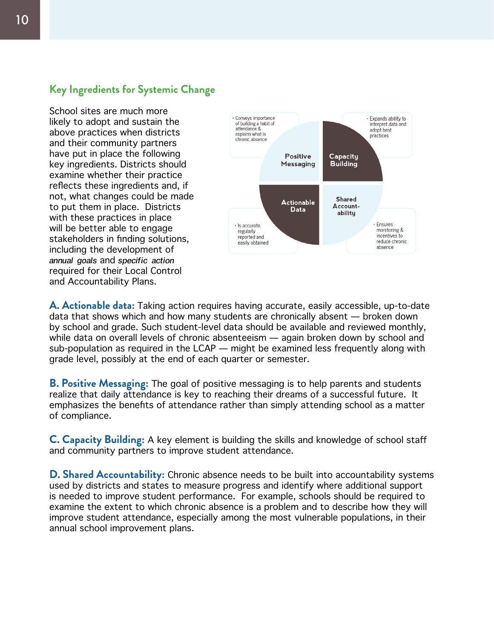### **Key Ingredients for Systemic Change**

School sites are much more likely to adopt and sustain the above practices when districts and their community partners have put in place the following key ingredients. Districts should examine whether their practice reflects these ingredients and, if not, what changes could be made to put them in place. Districts with these practices in place will be better able to engage stakeholders in finding solutions, including the development of *annual goals* and *specific action* required for their Local Control and Accountability Plans.



**A. Actionable data:** Taking action requires having accurate, easily accessible, up-to-date data that shows which and how many students are chronically absent — broken down by school and grade. Such student-level data should be available and reviewed monthly, while data on overall levels of chronic absenteeism — again broken down by school and sub-population as required in the LCAP — might be examined less frequently along with grade level, possibly at the end of each quarter or semester.

**B. Positive Messaging:** The goal of positive messaging is to help parents and students realize that daily attendance is key to reaching their dreams of a successful future. It emphasizes the benefits of attendance rather than simply attending school as a matter of compliance.

**C. Capacity Building:** A key element is building the skills and knowledge of school staff and community partners to improve student attendance.

**D. Shared Accountability:** Chronic absence needs to be built into accountability systems used by districts and states to measure progress and identify where additional support is needed to improve student performance. For example, schools should be required to examine the extent to which chronic absence is a problem and to describe how they will improve student attendance, especially among the most vulnerable populations, in their annual school improvement plans.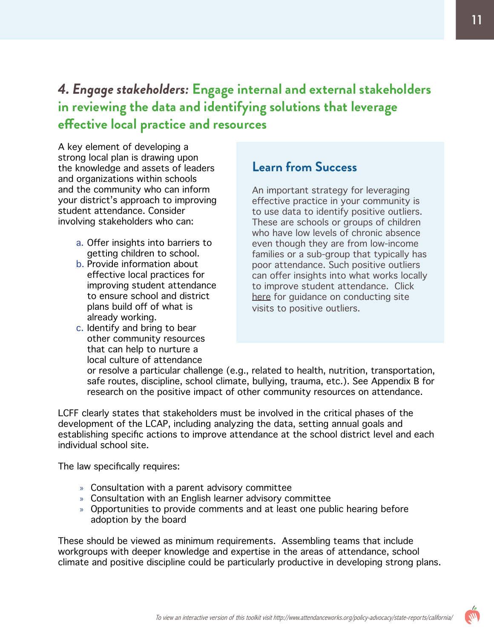# *4. Engage stakeholders:* **Engage internal and external stakeholders in reviewing the data and identifying solutions that leverage effective local practice and resources**

A key element of developing a strong local plan is drawing upon the knowledge and assets of leaders and organizations within schools and the community who can inform your district's approach to improving student attendance. Consider involving stakeholders who can:

- a. Offer insights into barriers to getting children to school.
- b. Provide information about effective local practices for improving student attendance to ensure school and district plans build off of what is already working.
- c. Identify and bring to bear other community resources that can help to nurture a local culture of attendance

# **Learn from Success**

An important strategy for leveraging effective practice in your community is to use data to identify positive outliers. These are schools or groups of children who have low levels of chronic absence even though they are from low-income families or a sub-group that typically has poor attendance. Such positive outliers can offer insights into what works locally to improve student attendance. Click [here](http://www.attendanceworks.org/wordpress/wp-content/uploads/2013/10/Pos-Outliers-toolkit_final.pdf) for guidance on conducting site visits to positive outliers.

or resolve a particular challenge (e.g., related to health, nutrition, transportation, safe routes, discipline, school climate, bullying, trauma, etc.). See Appendix B for research on the positive impact of other community resources on attendance.

LCFF clearly states that stakeholders must be involved in the critical phases of the development of the LCAP, including analyzing the data, setting annual goals and establishing specific actions to improve attendance at the school district level and each individual school site.

The law specifically requires:

- » Consultation with a parent advisory committee
- » Consultation with an English learner advisory committee
- » Opportunities to provide comments and at least one public hearing before adoption by the board

These should be viewed as minimum requirements. Assembling teams that include workgroups with deeper knowledge and expertise in the areas of attendance, school climate and positive discipline could be particularly productive in developing strong plans.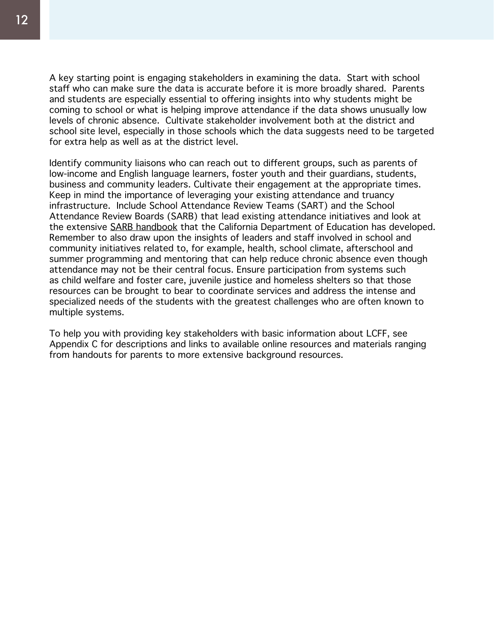A key starting point is engaging stakeholders in examining the data. Start with school staff who can make sure the data is accurate before it is more broadly shared. Parents and students are especially essential to offering insights into why students might be coming to school or what is helping improve attendance if the data shows unusually low levels of chronic absence. Cultivate stakeholder involvement both at the district and school site level, especially in those schools which the data suggests need to be targeted for extra help as well as at the district level.

Identify community liaisons who can reach out to different groups, such as parents of low-income and English language learners, foster youth and their guardians, students, business and community leaders. Cultivate their engagement at the appropriate times. Keep in mind the importance of leveraging your existing attendance and truancy infrastructure. Include School Attendance Review Teams (SART) and the School Attendance Review Boards (SARB) that lead existing attendance initiatives and look at the extensive [SARB handbook](http://www.sbcss.k12.ca.us/stuServe/SARB/StateSARBHandbook.pdf) that the California Department of Education has developed. Remember to also draw upon the insights of leaders and staff involved in school and community initiatives related to, for example, health, school climate, afterschool and summer programming and mentoring that can help reduce chronic absence even though attendance may not be their central focus. Ensure participation from systems such as child welfare and foster care, juvenile justice and homeless shelters so that those resources can be brought to bear to coordinate services and address the intense and specialized needs of the students with the greatest challenges who are often known to multiple systems.

To help you with providing key stakeholders with basic information about LCFF, see Appendix C for descriptions and links to available online resources and materials ranging from handouts for parents to more extensive background resources.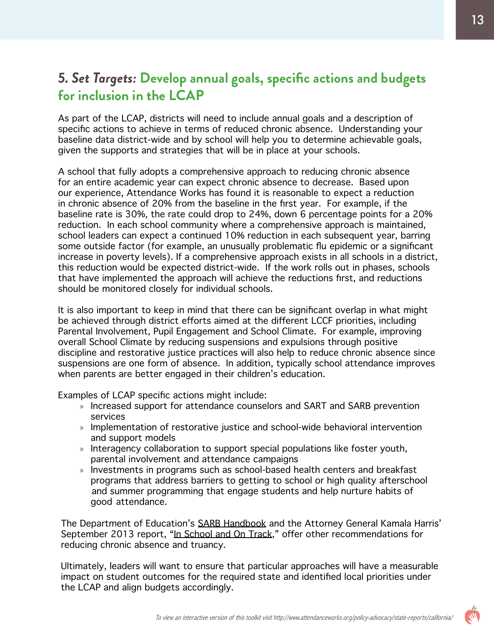# *5. Set Targets:* **Develop annual goals, specific actions and budgets for inclusion in the LCAP**

As part of the LCAP, districts will need to include annual goals and a description of specific actions to achieve in terms of reduced chronic absence. Understanding your baseline data district-wide and by school will help you to determine achievable goals, given the supports and strategies that will be in place at your schools.

A school that fully adopts a comprehensive approach to reducing chronic absence for an entire academic year can expect chronic absence to decrease. Based upon our experience, Attendance Works has found it is reasonable to expect a reduction in chronic absence of 20% from the baseline in the first year. For example, if the baseline rate is 30%, the rate could drop to 24%, down 6 percentage points for a 20% reduction. In each school community where a comprehensive approach is maintained, school leaders can expect a continued 10% reduction in each subsequent year, barring some outside factor (for example, an unusually problematic flu epidemic or a significant increase in poverty levels). If a comprehensive approach exists in all schools in a district, this reduction would be expected district-wide. If the work rolls out in phases, schools that have implemented the approach will achieve the reductions first, and reductions should be monitored closely for individual schools.

It is also important to keep in mind that there can be significant overlap in what might be achieved through district efforts aimed at the different LCCF priorities, including Parental Involvement, Pupil Engagement and School Climate. For example, improving overall School Climate by reducing suspensions and expulsions through positive discipline and restorative justice practices will also help to reduce chronic absence since suspensions are one form of absence. In addition, typically school attendance improves when parents are better engaged in their children's education.

Examples of LCAP specific actions might include:

- » Increased support for attendance counselors and SART and SARB prevention services
- » Implementation of restorative justice and school-wide behavioral intervention and support models
- » Interagency collaboration to support special populations like foster youth, parental involvement and attendance campaigns
- » Investments in programs such as school-based health centers and breakfast programs that address barriers to getting to school or high quality afterschool and summer programming that engage students and help nurture habits of good attendance.

The Department of Education's [SARB Handbook](http://www.sbcss.k12.ca.us/stuServe/SARB/StateSARBHandbook.pdf) and the Attorney General Kamala Harris' September 2013 report, "[In School and On Track](https://oag.ca.gov/truancy)," offer other recommendations for reducing chronic absence and truancy.

Ultimately, leaders will want to ensure that particular approaches will have a measurable impact on student outcomes for the required state and identified local priorities under the LCAP and align budgets accordingly.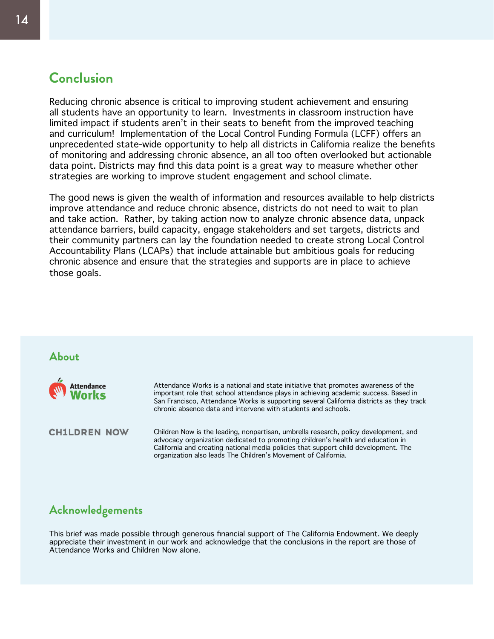# **Conclusion**

Reducing chronic absence is critical to improving student achievement and ensuring all students have an opportunity to learn. Investments in classroom instruction have limited impact if students aren't in their seats to benefit from the improved teaching and curriculum! Implementation of the Local Control Funding Formula (LCFF) offers an unprecedented state-wide opportunity to help all districts in California realize the benefits of monitoring and addressing chronic absence, an all too often overlooked but actionable data point. Districts may find this data point is a great way to measure whether other strategies are working to improve student engagement and school climate.

The good news is given the wealth of information and resources available to help districts improve attendance and reduce chronic absence, districts do not need to wait to plan and take action. Rather, by taking action now to analyze chronic absence data, unpack attendance barriers, build capacity, engage stakeholders and set targets, districts and their community partners can lay the foundation needed to create strong Local Control Accountability Plans (LCAPs) that include attainable but ambitious goals for reducing chronic absence and ensure that the strategies and supports are in place to achieve those goals.

### **About**



Attendance Works is a national and state initiative that promotes awareness of the important role that school attendance plays in achieving academic success. Based in San Francisco, Attendance Works is supporting several California districts as they track chronic absence data and intervene with students and schools.

**CH1LDREN NOW** 

Children Now is the leading, nonpartisan, umbrella research, policy development, and advocacy organization dedicated to promoting children's health and education in California and creating national media policies that support child development. The organization also leads The Children's Movement of California.

### **Acknowledgements**

This brief was made possible through generous financial support of The California Endowment. We deeply appreciate their investment in our work and acknowledge that the conclusions in the report are those of Attendance Works and Children Now alone.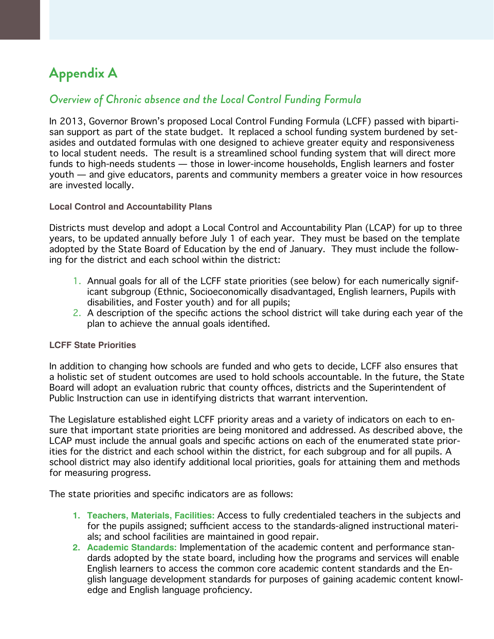# **Appendix A**

### *Overview of Chronic absence and the Local Control Funding Formula*

In 2013, Governor Brown's proposed Local Control Funding Formula (LCFF) passed with bipartisan support as part of the state budget. It replaced a school funding system burdened by setasides and outdated formulas with one designed to achieve greater equity and responsiveness to local student needs. The result is a streamlined school funding system that will direct more funds to high-needs students — those in lower-income households, English learners and foster youth — and give educators, parents and community members a greater voice in how resources are invested locally.

#### **Local Control and Accountability Plans**

Districts must develop and adopt a Local Control and Accountability Plan (LCAP) for up to three years, to be updated annually before July 1 of each year. They must be based on the template adopted by the State Board of Education by the end of January. They must include the following for the district and each school within the district:

- 1. Annual goals for all of the LCFF state priorities (see below) for each numerically significant subgroup (Ethnic, Socioeconomically disadvantaged, English learners, Pupils with disabilities, and Foster youth) and for all pupils;
- 2. A description of the specific actions the school district will take during each year of the plan to achieve the annual goals identified.

#### **LCFF State Priorities**

In addition to changing how schools are funded and who gets to decide, LCFF also ensures that a holistic set of student outcomes are used to hold schools accountable. In the future, the State Board will adopt an evaluation rubric that county offices, districts and the Superintendent of Public Instruction can use in identifying districts that warrant intervention.

The Legislature established eight LCFF priority areas and a variety of indicators on each to ensure that important state priorities are being monitored and addressed. As described above, the LCAP must include the annual goals and specific actions on each of the enumerated state priorities for the district and each school within the district, for each subgroup and for all pupils. A school district may also identify additional local priorities, goals for attaining them and methods for measuring progress.

The state priorities and specific indicators are as follows:

- **1. Teachers, Materials, Facilities:** Access to fully credentialed teachers in the subjects and for the pupils assigned; sufficient access to the standards-aligned instructional materials; and school facilities are maintained in good repair.
- **2. Academic Standards:** Implementation of the academic content and performance standards adopted by the state board, including how the programs and services will enable English learners to access the common core academic content standards and the English language development standards for purposes of gaining academic content knowledge and English language proficiency.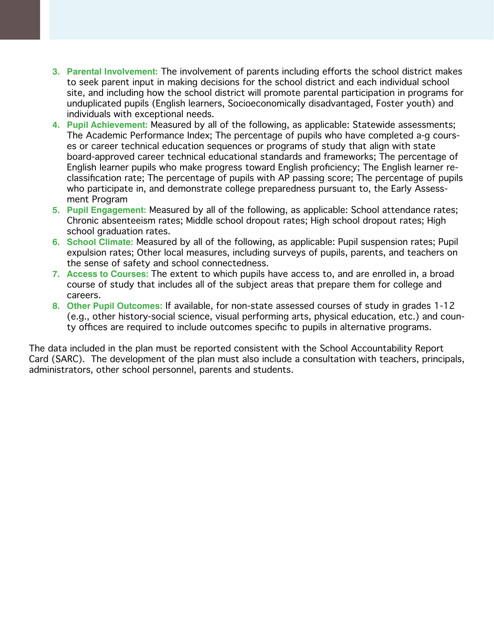- **3. Parental Involvement:** The involvement of parents including efforts the school district makes to seek parent input in making decisions for the school district and each individual school site, and including how the school district will promote parental participation in programs for unduplicated pupils (English learners, Socioeconomically disadvantaged, Foster youth) and individuals with exceptional needs.
- **4. Pupil Achievement:** Measured by all of the following, as applicable: Statewide assessments; The Academic Performance Index; The percentage of pupils who have completed a-g courses or career technical education sequences or programs of study that align with state board-approved career technical educational standards and frameworks; The percentage of English learner pupils who make progress toward English proficiency; The English learner reclassification rate; The percentage of pupils with AP passing score; The percentage of pupils who participate in, and demonstrate college preparedness pursuant to, the Early Assessment Program
- **5. Pupil Engagement:** Measured by all of the following, as applicable: School attendance rates; Chronic absenteeism rates; Middle school dropout rates; High school dropout rates; High school graduation rates.
- **6. School Climate:** Measured by all of the following, as applicable: Pupil suspension rates; Pupil expulsion rates; Other local measures, including surveys of pupils, parents, and teachers on the sense of safety and school connectedness.
- **7. Access to Courses:** The extent to which pupils have access to, and are enrolled in, a broad course of study that includes all of the subject areas that prepare them for college and careers.
- **8. Other Pupil Outcomes:** If available, for non-state assessed courses of study in grades 1-12 (e.g., other history-social science, visual performing arts, physical education, etc.) and county offices are required to include outcomes specific to pupils in alternative programs.

The data included in the plan must be reported consistent with the School Accountability Report Card (SARC). The development of the plan must also include a consultation with teachers, principals, administrators, other school personnel, parents and students.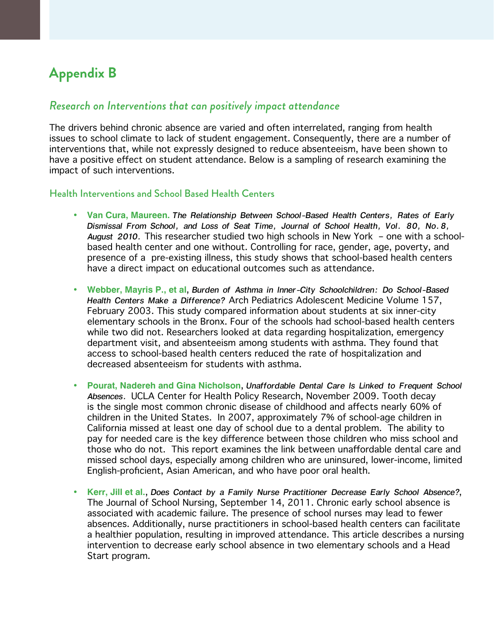# **Appendix B**

### *Research on Interventions that can positively impact attendance*

The drivers behind chronic absence are varied and often interrelated, ranging from health issues to school climate to lack of student engagement. Consequently, there are a number of interventions that, while not expressly designed to reduce absenteeism, have been shown to have a positive effect on student attendance. Below is a sampling of research examining the impact of such interventions.

#### Health Interventions and School Based Health Centers

- **• Van Cura, Maureen.** *The Relationship Between School-Based Health Centers, Rates of Early Dismissal From School, and Loss of Seat Time, Journal of School Health, Vol. 80, No.8, August 2010.* This researcher studied two high schools in New York – one with a schoolbased health center and one without. Controlling for race, gender, age, poverty, and presence of a pre-existing illness, this study shows that school-based health centers have a direct impact on educational outcomes such as attendance.
- **• Webber, Mayris P., et al**, *Burden of Asthma in Inner-City Schoolchildren: Do School-Based Health Centers Make a Difference?* Arch Pediatrics Adolescent Medicine Volume 157, February 2003. This study compared information about students at six inner-city elementary schools in the Bronx. Four of the schools had school-based health centers while two did not. Researchers looked at data regarding hospitalization, emergency department visit, and absenteeism among students with asthma. They found that access to school-based health centers reduced the rate of hospitalization and decreased absenteeism for students with asthma.
- **• Pourat, Nadereh and Gina Nicholson**, *Unaffordable Dental Care Is Linked to Frequent School Absences.* UCLA Center for Health Policy Research, November 2009. Tooth decay is the single most common chronic disease of childhood and affects nearly 60% of children in the United States. In 2007, approximately 7% of school-age children in California missed at least one day of school due to a dental problem. The ability to pay for needed care is the key difference between those children who miss school and those who do not. This report examines the link between unaffordable dental care and missed school days, especially among children who are uninsured, lower-income, limited English-proficient, Asian American, and who have poor oral health.
- **• Kerr, Jill et al.**, *Does Contact by a Family Nurse Practitioner Decrease Early School Absence?*, The Journal of School Nursing, September 14, 2011. Chronic early school absence is associated with academic failure. The presence of school nurses may lead to fewer absences. Additionally, nurse practitioners in school-based health centers can facilitate a healthier population, resulting in improved attendance. This article describes a nursing intervention to decrease early school absence in two elementary schools and a Head Start program.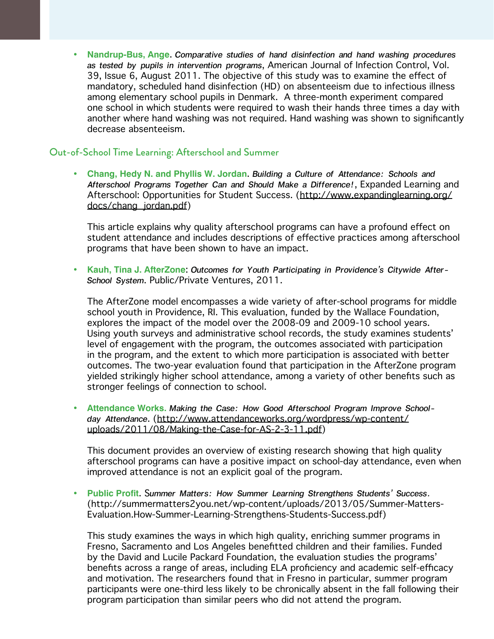**• Nandrup-Bus, Ange**. *Comparative studies of hand disinfection and hand washing procedures as tested by pupils in intervention programs*, American Journal of Infection Control, Vol. 39, Issue 6, August 2011. The objective of this study was to examine the effect of mandatory, scheduled hand disinfection (HD) on absenteeism due to infectious illness among elementary school pupils in Denmark. A three-month experiment compared one school in which students were required to wash their hands three times a day with another where hand washing was not required. Hand washing was shown to significantly decrease absenteeism.

#### Out-of-School Time Learning: Afterschool and Summer

**• Chang, Hedy N. and Phyllis W. Jordan**. *Building a Culture of Attendance: Schools and Afterschool Programs Together Can and Should Make a Difference!*, Expanded Learning and Afterschool: Opportunities for Student Success. ([http://www.expandinglearning.org/](http://www.expandinglearning.org/docs/chang_jordan.pdf) [docs/chang\\_jordan.pdf\)](http://www.expandinglearning.org/docs/chang_jordan.pdf)

This article explains why quality afterschool programs can have a profound effect on student attendance and includes descriptions of effective practices among afterschool programs that have been shown to have an impact.

**• Kauh, Tina J. AfterZone**: *Outcomes for Youth Participating in Providence's Citywide After-School System*. Public/Private Ventures, 2011.

The AfterZone model encompasses a wide variety of after-school programs for middle school youth in Providence, RI. This evaluation, funded by the Wallace Foundation, explores the impact of the model over the 2008-09 and 2009-10 school years. Using youth surveys and administrative school records, the study examines students' level of engagement with the program, the outcomes associated with participation in the program, and the extent to which more participation is associated with better outcomes. The two-year evaluation found that participation in the AfterZone program yielded strikingly higher school attendance, among a variety of other benefits such as stronger feelings of connection to school.

**• Attendance Works.** *Making the Case: How Good Afterschool Program Improve Schoolday Attendance*. ([http://www.attendanceworks.org/wordpress/wp-content/](http://www.attendanceworks.org/wordpress/wp-content/uploads/2011/08/Making-the-Case-for-AS-2-3-11.pdf) [uploads/2011/08/Making-the-Case-for-AS-2-3-11.pdf](http://www.attendanceworks.org/wordpress/wp-content/uploads/2011/08/Making-the-Case-for-AS-2-3-11.pdf))

This document provides an overview of existing research showing that high quality afterschool programs can have a positive impact on school-day attendance, even when improved attendance is not an explicit goal of the program.

**• Public Profit**. S*ummer Matters: How Summer Learning Strengthens Students' Success.*  (http://summermatters2you.net/wp-content/uploads/2013/05/Summer-Matters-Evaluation.How-Summer-Learning-Strengthens-Students-Success.pdf)

This study examines the ways in which high quality, enriching summer programs in Fresno, Sacramento and Los Angeles benefitted children and their families. Funded by the David and Lucile Packard Foundation, the evaluation studies the programs' benefits across a range of areas, including ELA proficiency and academic self-efficacy and motivation. The researchers found that in Fresno in particular, summer program participants were one-third less likely to be chronically absent in the fall following their program participation than similar peers who did not attend the program.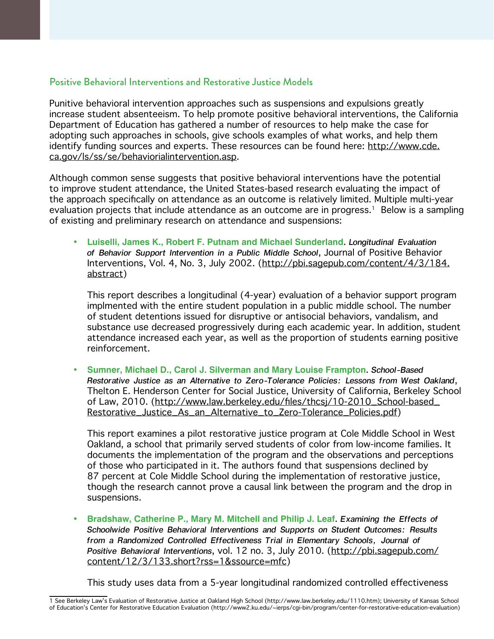#### Positive Behavioral Interventions and Restorative Justice Models

Punitive behavioral intervention approaches such as suspensions and expulsions greatly increase student absenteeism. To help promote positive behavioral interventions, the California Department of Education has gathered a number of resources to help make the case for adopting such approaches in schools, give schools examples of what works, and help them identify funding sources and experts. These resources can be found here: [http://www.cde.](http://www.cde.ca.gov/ls/ss/se/behaviorialintervention.asp) [ca.gov/ls/ss/se/behaviorialintervention.asp](http://www.cde.ca.gov/ls/ss/se/behaviorialintervention.asp).

Although common sense suggests that positive behavioral interventions have the potential to improve student attendance, the United States-based research evaluating the impact of the approach specifically on attendance as an outcome is relatively limited. Multiple multi-year evaluation projects that include attendance as an outcome are in progress.<sup>1</sup> Below is a sampling of existing and preliminary research on attendance and suspensions:

**• Luiselli, James K., Robert F. Putnam and Michael Sunderland**. *Longitudinal Evaluation of Behavior Support Intervention in a Public Middle School*, Journal of Positive Behavior Interventions, Vol. 4, No. 3, July 2002. ([http://pbi.sagepub.com/content/4/3/184.](http://pbi.sagepub.com/content/4/3/184.abstract) [abstract\)](http://pbi.sagepub.com/content/4/3/184.abstract)

This report describes a longitudinal (4-year) evaluation of a behavior support program implmented with the entire student population in a public middle school. The number of student detentions issued for disruptive or antisocial behaviors, vandalism, and substance use decreased progressively during each academic year. In addition, student attendance increased each year, as well as the proportion of students earning positive reinforcement.

**• Sumner, Michael D., Carol J. Silverman and Mary Louise Frampton**. *School-Based Restorative Justice as an Alternative to Zero-Tolerance Policies: Lessons from West Oakland*, Thelton E. Henderson Center for Social Justice, University of California, Berkeley School of Law, 2010. ([http://www.law.berkeley.edu/files/thcsj/10-2010\\_School-based\\_](http://www.law.berkeley.edu/files/thcsj/10-2010_School-based_Restorative_Justice_As_an_Alternative_to_Zero-Tolerance_Policies.pdf) [Restorative\\_Justice\\_As\\_an\\_Alternative\\_to\\_Zero-Tolerance\\_Policies.pdf\)](http://www.law.berkeley.edu/files/thcsj/10-2010_School-based_Restorative_Justice_As_an_Alternative_to_Zero-Tolerance_Policies.pdf)

This report examines a pilot restorative justice program at Cole Middle School in West Oakland, a school that primarily served students of color from low-income families. It documents the implementation of the program and the observations and perceptions of those who participated in it. The authors found that suspensions declined by 87 percent at Cole Middle School during the implementation of restorative justice, though the research cannot prove a causal link between the program and the drop in suspensions.

**• Bradshaw, Catherine P., Mary M. Mitchell and Philip J. Leaf**. *Examining the Effects of Schoolwide Positive Behavioral Interventions and Supports on Student Outcomes: Results*  from a Randomized Controlled Effectiveness Trial in Elementary Schools, Journal of *Positive Behavioral Interventions*, vol. 12 no. 3, July 2010. ([http://pbi.sagepub.com/](http://pbi.sagepub.com/content/12/3/133.short?rss=1&ssource=mfc) [content/12/3/133.short?rss=1&ssource=mfc](http://pbi.sagepub.com/content/12/3/133.short?rss=1&ssource=mfc))

This study uses data from a 5-year longitudinal randomized controlled effectiveness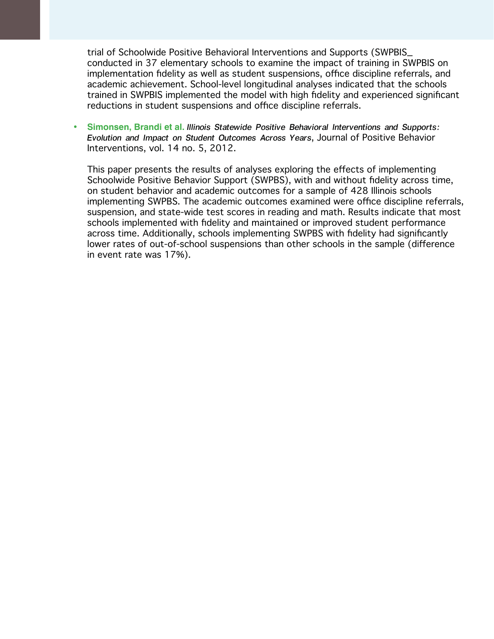trial of Schoolwide Positive Behavioral Interventions and Supports (SWPBIS\_ conducted in 37 elementary schools to examine the impact of training in SWPBIS on implementation fidelity as well as student suspensions, office discipline referrals, and academic achievement. School-level longitudinal analyses indicated that the schools trained in SWPBIS implemented the model with high fidelity and experienced significant reductions in student suspensions and office discipline referrals.

**• Simonsen, Brandi et al.** *Illinois Statewide Positive Behavioral Interventions and Supports: Evolution and Impact on Student Outcomes Across Years*, Journal of Positive Behavior Interventions, vol. 14 no. 5, 2012.

This paper presents the results of analyses exploring the effects of implementing Schoolwide Positive Behavior Support (SWPBS), with and without fidelity across time, on student behavior and academic outcomes for a sample of 428 Illinois schools implementing SWPBS. The academic outcomes examined were office discipline referrals, suspension, and state-wide test scores in reading and math. Results indicate that most schools implemented with fidelity and maintained or improved student performance across time. Additionally, schools implementing SWPBS with fidelity had significantly lower rates of out-of-school suspensions than other schools in the sample (difference in event rate was 17%).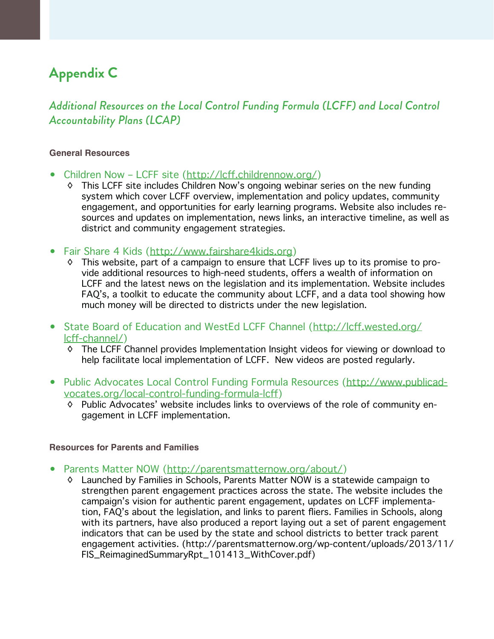# **Appendix C**

### *Additional Resources on the Local Control Funding Formula (LCFF) and Local Control Accountability Plans (LCAP)*

#### **General Resources**

- Children Now LCFF site [\(http://lcff.childrennow.org/](http://lcff.childrennow.org/))
	- ◊ This LCFF site includes Children Now's ongoing webinar series on the new funding system which cover LCFF overview, implementation and policy updates, community engagement, and opportunities for early learning programs. Website also includes resources and updates on implementation, news links, an interactive timeline, as well as district and community engagement strategies.
- Fair Share 4 Kids (<http://www.fairshare4kids.org>)
	- ◊ This website, part of a campaign to ensure that LCFF lives up to its promise to provide additional resources to high-need students, offers a wealth of information on LCFF and the latest news on the legislation and its implementation. Website includes FAQ's, a toolkit to educate the community about LCFF, and a data tool showing how much money will be directed to districts under the new legislation.
- State Board of Education and WestEd LCFF Channel ([http://lcff.wested.org/](http://lcff.wested.org/lcff-channel/) [lcff-channel/](http://lcff.wested.org/lcff-channel/))
	- ◊ The LCFF Channel provides Implementation Insight videos for viewing or download to help facilitate local implementation of LCFF. New videos are posted regularly.
- Public Advocates Local Control Funding Formula Resources ([http://www.publicad](http://www.publicadvocates.org/local-control-funding-formula-lcff)[vocates.org/local-control-funding-formula-lcff](http://www.publicadvocates.org/local-control-funding-formula-lcff))
	- ◊ Public Advocates' website includes links to overviews of the role of community engagement in LCFF implementation.

#### **Resources for Parents and Families**

- Parents Matter NOW [\(http://parentsmatternow.org/about/\)](http://parentsmatternow.org/about/)
	- ◊ Launched by Families in Schools, Parents Matter NOW is a statewide campaign to strengthen parent engagement practices across the state. The website includes the campaign's vision for authentic parent engagement, updates on LCFF implementation, FAQ's about the legislation, and links to parent fliers. Families in Schools, along with its partners, have also produced a report laying out a set of parent engagement indicators that can be used by the state and school districts to better track parent engagement activities. (http://parentsmatternow.org/wp-content/uploads/2013/11/ FIS\_ReimaginedSummaryRpt\_101413\_WithCover.pdf)